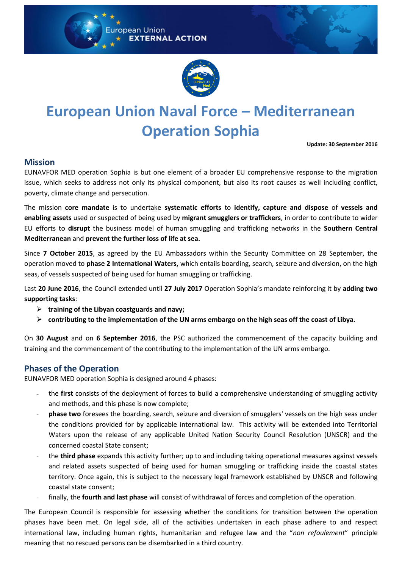



# **European Union Naval Force – Mediterranean Operation Sophia**

**Update: 30 September 2016**

### **Mission**

EUNAVFOR MED operation Sophia is but one element of a broader EU comprehensive response to the migration issue, which seeks to address not only its physical component, but also its root causes as well including conflict, poverty, climate change and persecution.

The mission **core mandate** is to undertake **systematic efforts** to **identify, capture and dispose** of **vessels and enabling assets** used or suspected of being used by **migrant smugglers or traffickers**, in order to contribute to wider EU efforts to **disrupt** the business model of human smuggling and trafficking networks in the **Southern Central Mediterranean** and **prevent the further loss of life at sea.**

Since **7 October 2015**, as agreed by the EU Ambassadors within the Security Committee on 28 September, the operation moved to **phase 2 International Waters,** which entails boarding, search, seizure and diversion, on the high seas, of vessels suspected of being used for human smuggling or trafficking.

Last **20 June 2016**, the Council extended until **27 July 2017** Operation Sophia's mandate reinforcing it by **adding two supporting tasks**:

- **training of the Libyan coastguards and navy;**
- **contributing to the implementation of the UN arms embargo on the high seas off the coast of Libya.**

On **30 August** and on **6 September 2016**, the PSC authorized the commencement of the capacity building and training and the commencement of the contributing to the implementation of the UN arms embargo.

## **Phases of the Operation**

EUNAVFOR MED operation Sophia is designed around 4 phases:

- the **first** consists of the deployment of forces to build a comprehensive understanding of smuggling activity and methods, and this phase is now complete;
- **phase two** foresees the boarding, search, seizure and diversion of smugglers' vessels on the high seas under the conditions provided for by applicable international law. This activity will be extended into Territorial Waters upon the release of any applicable United Nation Security Council Resolution (UNSCR) and the concerned coastal State consent;
- the **third phase** expands this activity further; up to and including taking operational measures against vessels and related assets suspected of being used for human smuggling or trafficking inside the coastal states territory. Once again, this is subject to the necessary legal framework established by UNSCR and following coastal state consent;
- finally, the **fourth and last phase** will consist of withdrawal of forces and completion of the operation.

The European Council is responsible for assessing whether the conditions for transition between the operation phases have been met. On legal side, all of the activities undertaken in each phase adhere to and respect international law, including human rights, humanitarian and refugee law and the "*non refoulement*" principle meaning that no rescued persons can be disembarked in a third country.